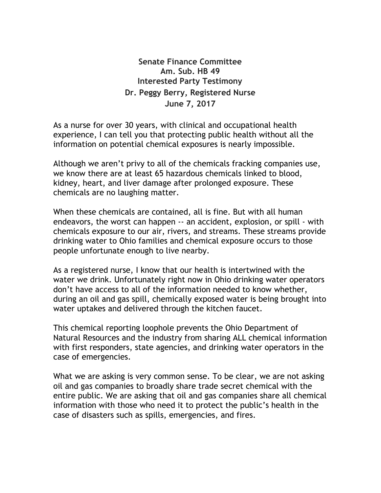**Senate Finance Committee Am. Sub. HB 49 Interested Party Testimony Dr. Peggy Berry, Registered Nurse June 7, 2017**

As a nurse for over 30 years, with clinical and occupational health experience, I can tell you that protecting public health without all the information on potential chemical exposures is nearly impossible.

Although we aren't privy to all of the chemicals fracking companies use, we know there are at least 65 hazardous chemicals linked to blood, kidney, heart, and liver damage after prolonged exposure. These chemicals are no laughing matter.

When these chemicals are contained, all is fine. But with all human endeavors, the worst can happen -- an accident, explosion, or spill - with chemicals exposure to our air, rivers, and streams. These streams provide drinking water to Ohio families and chemical exposure occurs to those people unfortunate enough to live nearby.

As a registered nurse, I know that our health is intertwined with the water we drink. Unfortunately right now in Ohio drinking water operators don't have access to all of the information needed to know whether, during an oil and gas spill, chemically exposed water is being brought into water uptakes and delivered through the kitchen faucet.

This chemical reporting loophole prevents the Ohio Department of Natural Resources and the industry from sharing ALL chemical information with first responders, state agencies, and drinking water operators in the case of emergencies.

What we are asking is very common sense. To be clear, we are not asking oil and gas companies to broadly share trade secret chemical with the entire public. We are asking that oil and gas companies share all chemical information with those who need it to protect the public's health in the case of disasters such as spills, emergencies, and fires.